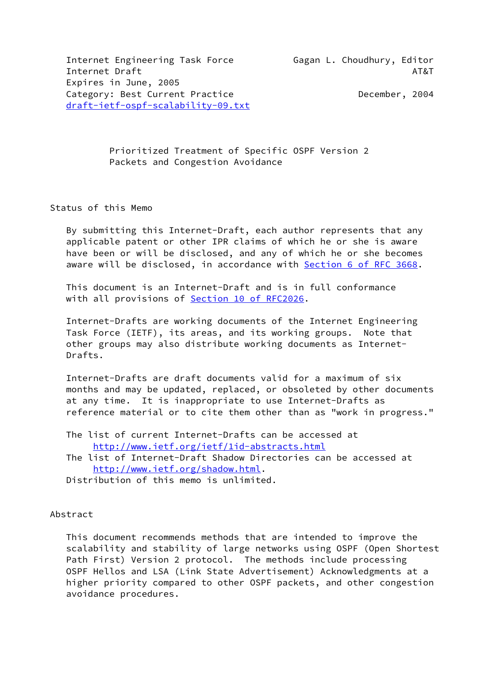Internet Engineering Task Force Gagan L. Choudhury, Editor Internet Draft AT&T Expires in June, 2005 Category: Best Current Practice **December, 2004** [draft-ietf-ospf-scalability-09.txt](https://datatracker.ietf.org/doc/pdf/draft-ietf-ospf-scalability-09.txt)

 Prioritized Treatment of Specific OSPF Version 2 Packets and Congestion Avoidance

Status of this Memo

 By submitting this Internet-Draft, each author represents that any applicable patent or other IPR claims of which he or she is aware have been or will be disclosed, and any of which he or she becomes aware will be disclosed, in accordance with Section [6 of RFC 3668.](https://datatracker.ietf.org/doc/pdf/rfc3668#section-6)

 This document is an Internet-Draft and is in full conformance with all provisions of Section [10 of RFC2026.](https://datatracker.ietf.org/doc/pdf/rfc2026#section-10)

 Internet-Drafts are working documents of the Internet Engineering Task Force (IETF), its areas, and its working groups. Note that other groups may also distribute working documents as Internet- Drafts.

 Internet-Drafts are draft documents valid for a maximum of six months and may be updated, replaced, or obsoleted by other documents at any time. It is inappropriate to use Internet-Drafts as reference material or to cite them other than as "work in progress."

 The list of current Internet-Drafts can be accessed at <http://www.ietf.org/ietf/1id-abstracts.html>

 The list of Internet-Draft Shadow Directories can be accessed at <http://www.ietf.org/shadow.html>.

Distribution of this memo is unlimited.

## Abstract

 This document recommends methods that are intended to improve the scalability and stability of large networks using OSPF (Open Shortest Path First) Version 2 protocol. The methods include processing OSPF Hellos and LSA (Link State Advertisement) Acknowledgments at a higher priority compared to other OSPF packets, and other congestion avoidance procedures.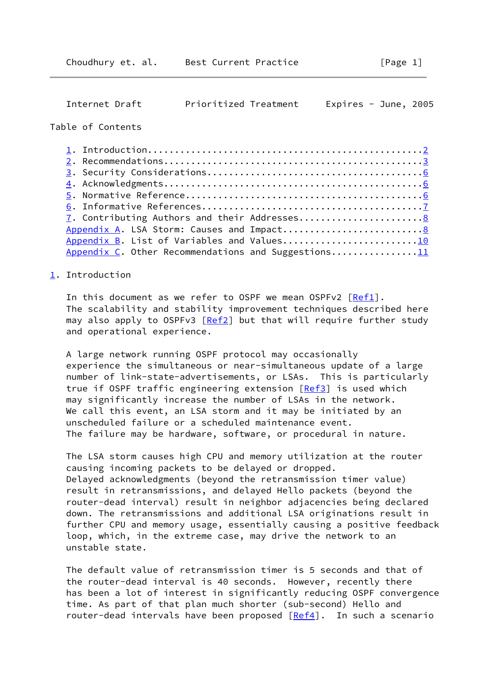<span id="page-1-1"></span>

| Internet Draft    | Prioritized Treatment                               | Expires - June, $2005$ |
|-------------------|-----------------------------------------------------|------------------------|
| Table of Contents |                                                     |                        |
|                   |                                                     |                        |
|                   |                                                     |                        |
|                   |                                                     |                        |
|                   |                                                     |                        |
|                   |                                                     |                        |
|                   |                                                     |                        |
|                   |                                                     |                        |
|                   |                                                     |                        |
|                   | Appendix B. List of Variables and Values10          |                        |
|                   | Appendix C. Other Recommendations and Suggestions11 |                        |

## <span id="page-1-0"></span>[1](#page-1-0). Introduction

In this document as we refer to OSPF we mean OSPFv2  $[Ref1]$  $[Ref1]$ . The scalability and stability improvement techniques described here may also apply to OSPFv3  $[Ref2]$  $[Ref2]$  but that will require further study and operational experience.

 A large network running OSPF protocol may occasionally experience the simultaneous or near-simultaneous update of a large number of link-state-advertisements, or LSAs. This is particularly true if OSPF traffic engineering extension [[Ref3\]](#page-6-7) is used which may significantly increase the number of LSAs in the network. We call this event, an LSA storm and it may be initiated by an unscheduled failure or a scheduled maintenance event. The failure may be hardware, software, or procedural in nature.

 The LSA storm causes high CPU and memory utilization at the router causing incoming packets to be delayed or dropped. Delayed acknowledgments (beyond the retransmission timer value) result in retransmissions, and delayed Hello packets (beyond the router-dead interval) result in neighbor adjacencies being declared down. The retransmissions and additional LSA originations result in further CPU and memory usage, essentially causing a positive feedback loop, which, in the extreme case, may drive the network to an unstable state.

 The default value of retransmission timer is 5 seconds and that of the router-dead interval is 40 seconds. However, recently there has been a lot of interest in significantly reducing OSPF convergence time. As part of that plan much shorter (sub-second) Hello and router-dead intervals have been proposed [\[Ref4](#page-6-8)]. In such a scenario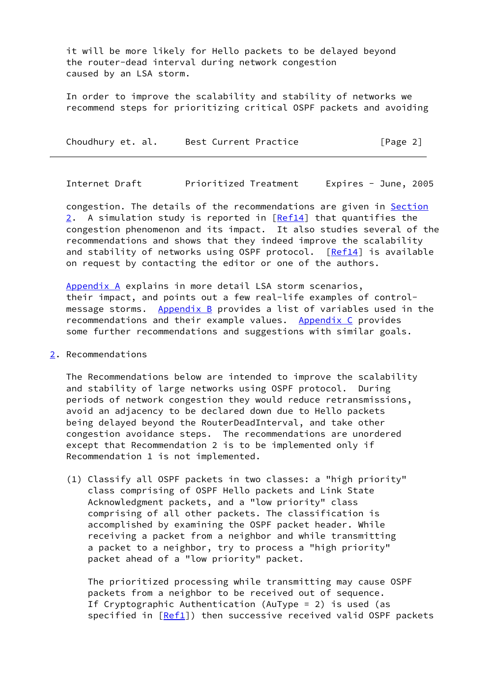it will be more likely for Hello packets to be delayed beyond the router-dead interval during network congestion caused by an LSA storm.

 In order to improve the scalability and stability of networks we recommend steps for prioritizing critical OSPF packets and avoiding

| Choudhury et. al. | Best Current Practice | [Page 2] |
|-------------------|-----------------------|----------|
|-------------------|-----------------------|----------|

<span id="page-2-1"></span>Internet Draft Prioritized Treatment Expires - June, 2005

congestion. The details of the recommendations are given in [Section](#page-2-0) [2](#page-2-0). A simulation study is reported in  $[Ref14]$  $[Ref14]$  that quantifies the congestion phenomenon and its impact. It also studies several of the recommendations and shows that they indeed improve the scalability and stability of networks using OSPF protocol.  $[Ref14]$  $[Ref14]$  is available on request by contacting the editor or one of the authors.

 [Appendix A](#page-8-0) explains in more detail LSA storm scenarios, their impact, and points out a few real-life examples of control message storms. [Appendix B](#page-11-0) provides a list of variables used in the recommendations and their example values. [Appendix C](#page-12-0) provides some further recommendations and suggestions with similar goals.

## <span id="page-2-0"></span>[2](#page-2-0). Recommendations

 The Recommendations below are intended to improve the scalability and stability of large networks using OSPF protocol. During periods of network congestion they would reduce retransmissions, avoid an adjacency to be declared down due to Hello packets being delayed beyond the RouterDeadInterval, and take other congestion avoidance steps. The recommendations are unordered except that Recommendation 2 is to be implemented only if Recommendation 1 is not implemented.

 (1) Classify all OSPF packets in two classes: a "high priority" class comprising of OSPF Hello packets and Link State Acknowledgment packets, and a "low priority" class comprising of all other packets. The classification is accomplished by examining the OSPF packet header. While receiving a packet from a neighbor and while transmitting a packet to a neighbor, try to process a "high priority" packet ahead of a "low priority" packet.

 The prioritized processing while transmitting may cause OSPF packets from a neighbor to be received out of sequence. If Cryptographic Authentication (AuType = 2) is used (as specified in  $[Ref1]$  $[Ref1]$ ) then successive received valid OSPF packets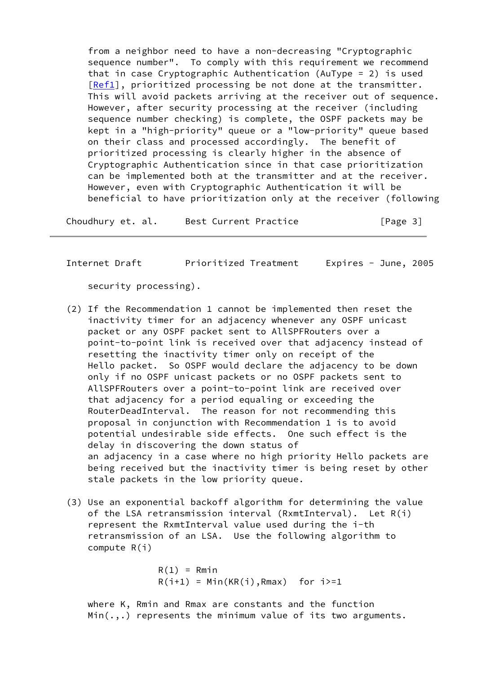from a neighbor need to have a non-decreasing "Cryptographic sequence number". To comply with this requirement we recommend that in case Cryptographic Authentication (AuType = 2) is used [\[Ref1](#page-6-5)], prioritized processing be not done at the transmitter. This will avoid packets arriving at the receiver out of sequence. However, after security processing at the receiver (including sequence number checking) is complete, the OSPF packets may be kept in a "high-priority" queue or a "low-priority" queue based on their class and processed accordingly. The benefit of prioritized processing is clearly higher in the absence of Cryptographic Authentication since in that case prioritization can be implemented both at the transmitter and at the receiver. However, even with Cryptographic Authentication it will be beneficial to have prioritization only at the receiver (following

Choudhury et. al. Best Current Practice [Page 3]

Internet Draft Prioritized Treatment Expires - June, 2005

security processing).

- (2) If the Recommendation 1 cannot be implemented then reset the inactivity timer for an adjacency whenever any OSPF unicast packet or any OSPF packet sent to AllSPFRouters over a point-to-point link is received over that adjacency instead of resetting the inactivity timer only on receipt of the Hello packet. So OSPF would declare the adjacency to be down only if no OSPF unicast packets or no OSPF packets sent to AllSPFRouters over a point-to-point link are received over that adjacency for a period equaling or exceeding the RouterDeadInterval. The reason for not recommending this proposal in conjunction with Recommendation 1 is to avoid potential undesirable side effects. One such effect is the delay in discovering the down status of an adjacency in a case where no high priority Hello packets are being received but the inactivity timer is being reset by other stale packets in the low priority queue.
- (3) Use an exponential backoff algorithm for determining the value of the LSA retransmission interval (RxmtInterval). Let R(i) represent the RxmtInterval value used during the i-th retransmission of an LSA. Use the following algorithm to compute R(i)

 $R(1) = Rmin$  $R(i+1) = Min(KR(i), Rmax)$  for  $i>=1$ 

 where K, Rmin and Rmax are constants and the function  $Min(.,.)$  represents the minimum value of its two arguments.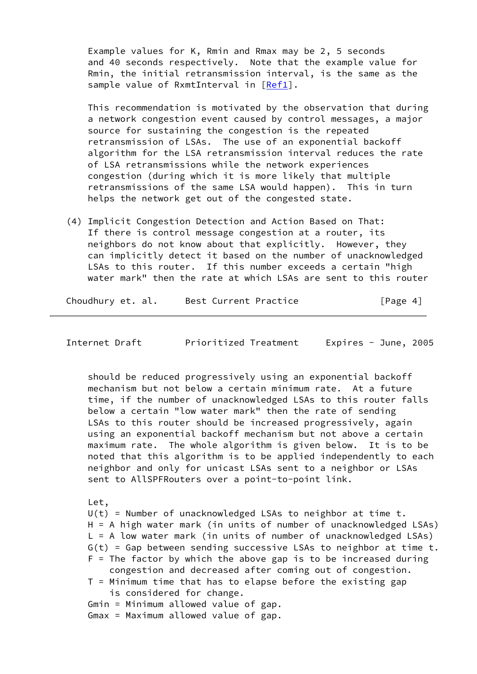Example values for K, Rmin and Rmax may be 2, 5 seconds and 40 seconds respectively. Note that the example value for Rmin, the initial retransmission interval, is the same as the sample value of RxmtInterval in [\[Ref1](#page-6-5)].

 This recommendation is motivated by the observation that during a network congestion event caused by control messages, a major source for sustaining the congestion is the repeated retransmission of LSAs. The use of an exponential backoff algorithm for the LSA retransmission interval reduces the rate of LSA retransmissions while the network experiences congestion (during which it is more likely that multiple retransmissions of the same LSA would happen). This in turn helps the network get out of the congested state.

 (4) Implicit Congestion Detection and Action Based on That: If there is control message congestion at a router, its neighbors do not know about that explicitly. However, they can implicitly detect it based on the number of unacknowledged LSAs to this router. If this number exceeds a certain "high water mark" then the rate at which LSAs are sent to this router

| Choudhury et. al. | Best Current Practice | [Page 4] |
|-------------------|-----------------------|----------|
|-------------------|-----------------------|----------|

Internet Draft Prioritized Treatment Expires - June, 2005

 should be reduced progressively using an exponential backoff mechanism but not below a certain minimum rate. At a future time, if the number of unacknowledged LSAs to this router falls below a certain "low water mark" then the rate of sending LSAs to this router should be increased progressively, again using an exponential backoff mechanism but not above a certain maximum rate. The whole algorithm is given below. It is to be noted that this algorithm is to be applied independently to each neighbor and only for unicast LSAs sent to a neighbor or LSAs sent to AllSPFRouters over a point-to-point link.

Let,

 U(t) = Number of unacknowledged LSAs to neighbor at time t. H = A high water mark (in units of number of unacknowledged LSAs) L = A low water mark (in units of number of unacknowledged LSAs)  $G(t)$  = Gap between sending successive LSAs to neighbor at time t.  $F =$  The factor by which the above gap is to be increased during congestion and decreased after coming out of congestion. T = Minimum time that has to elapse before the existing gap is considered for change. Gmin = Minimum allowed value of gap. Gmax = Maximum allowed value of gap.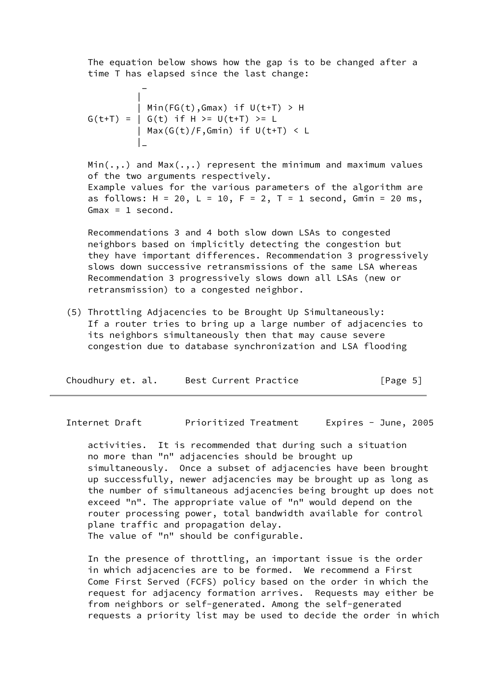The equation below shows how the gap is to be changed after a time T has elapsed since the last change:

 | | Min(FG(t),Gmax) if U(t+T) > H  $G(t+T) = | G(t) if H >= U(t+T) > = L$  $|$  Max(G(t)/F,Gmin) if U(t+T) < L |\_

\_

 $Min(.,.)$  and  $Max(.,.)$  represent the minimum and maximum values of the two arguments respectively. Example values for the various parameters of the algorithm are

as follows:  $H = 20$ ,  $L = 10$ ,  $F = 2$ ,  $T = 1$  second, Gmin = 20 ms, Gmax = 1 second.

 Recommendations 3 and 4 both slow down LSAs to congested neighbors based on implicitly detecting the congestion but they have important differences. Recommendation 3 progressively slows down successive retransmissions of the same LSA whereas Recommendation 3 progressively slows down all LSAs (new or retransmission) to a congested neighbor.

 (5) Throttling Adjacencies to be Brought Up Simultaneously: If a router tries to bring up a large number of adjacencies to its neighbors simultaneously then that may cause severe congestion due to database synchronization and LSA flooding

| Choudhury et. al. | Best Current Practice | [Page 5] |
|-------------------|-----------------------|----------|
|-------------------|-----------------------|----------|

<span id="page-5-0"></span>Internet Draft Prioritized Treatment Expires - June, 2005

 activities. It is recommended that during such a situation no more than "n" adjacencies should be brought up simultaneously. Once a subset of adjacencies have been brought up successfully, newer adjacencies may be brought up as long as the number of simultaneous adjacencies being brought up does not exceed "n". The appropriate value of "n" would depend on the router processing power, total bandwidth available for control plane traffic and propagation delay. The value of "n" should be configurable.

 In the presence of throttling, an important issue is the order in which adjacencies are to be formed. We recommend a First Come First Served (FCFS) policy based on the order in which the request for adjacency formation arrives. Requests may either be from neighbors or self-generated. Among the self-generated requests a priority list may be used to decide the order in which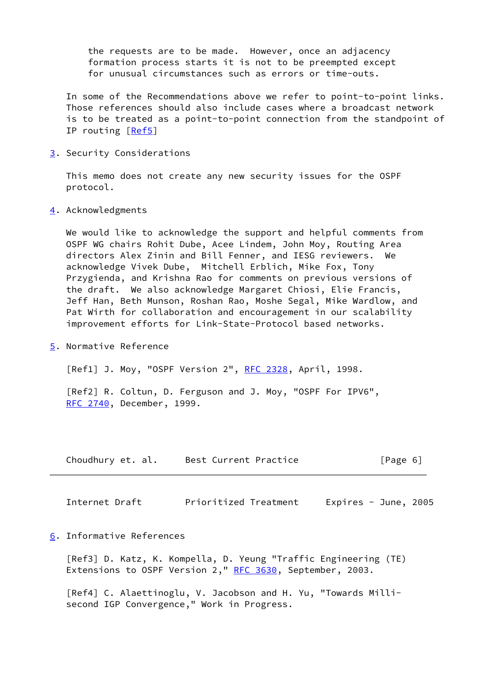the requests are to be made. However, once an adjacency formation process starts it is not to be preempted except for unusual circumstances such as errors or time-outs.

 In some of the Recommendations above we refer to point-to-point links. Those references should also include cases where a broadcast network is to be treated as a point-to-point connection from the standpoint of IP routing [[Ref5\]](#page-7-3)

<span id="page-6-0"></span>[3](#page-6-0). Security Considerations

 This memo does not create any new security issues for the OSPF protocol.

<span id="page-6-1"></span>[4](#page-6-1). Acknowledgments

 We would like to acknowledge the support and helpful comments from OSPF WG chairs Rohit Dube, Acee Lindem, John Moy, Routing Area directors Alex Zinin and Bill Fenner, and IESG reviewers. We acknowledge Vivek Dube, Mitchell Erblich, Mike Fox, Tony Przygienda, and Krishna Rao for comments on previous versions of the draft. We also acknowledge Margaret Chiosi, Elie Francis, Jeff Han, Beth Munson, Roshan Rao, Moshe Segal, Mike Wardlow, and Pat Wirth for collaboration and encouragement in our scalability improvement efforts for Link-State-Protocol based networks.

<span id="page-6-2"></span>[5](#page-6-2). Normative Reference

<span id="page-6-5"></span>[Ref1] J. Moy, "OSPF Version 2", [RFC 2328](https://datatracker.ietf.org/doc/pdf/rfc2328), April, 1998.

<span id="page-6-6"></span> [Ref2] R. Coltun, D. Ferguson and J. Moy, "OSPF For IPV6", [RFC 2740](https://datatracker.ietf.org/doc/pdf/rfc2740), December, 1999.

| Choudhury et. al. | Best Current Practice | [Page 6] |
|-------------------|-----------------------|----------|
|-------------------|-----------------------|----------|

<span id="page-6-4"></span>Internet Draft Prioritized Treatment Expires - June, 2005

<span id="page-6-3"></span>[6](#page-6-3). Informative References

<span id="page-6-7"></span> [Ref3] D. Katz, K. Kompella, D. Yeung "Traffic Engineering (TE) Extensions to OSPF Version 2," [RFC 3630,](https://datatracker.ietf.org/doc/pdf/rfc3630) September, 2003.

<span id="page-6-8"></span> [Ref4] C. Alaettinoglu, V. Jacobson and H. Yu, "Towards Milli second IGP Convergence," Work in Progress.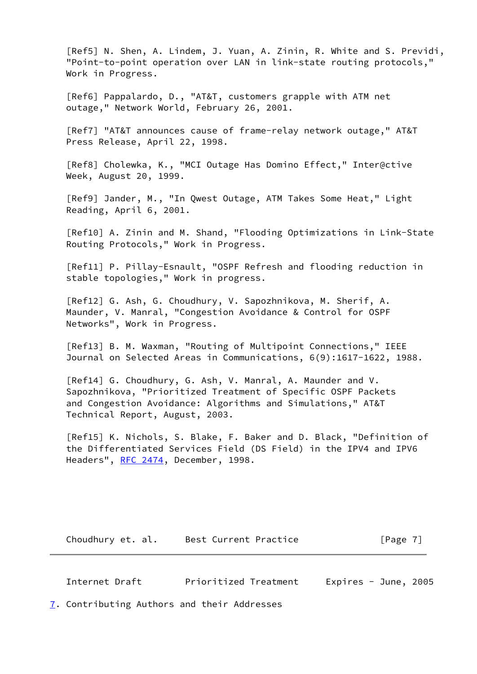<span id="page-7-3"></span>[Ref5] N. Shen, A. Lindem, J. Yuan, A. Zinin, R. White and S. Previdi, "Point-to-point operation over LAN in link-state routing protocols," Work in Progress.

 [Ref6] Pappalardo, D., "AT&T, customers grapple with ATM net outage," Network World, February 26, 2001.

 [Ref7] "AT&T announces cause of frame-relay network outage," AT&T Press Release, April 22, 1998.

 [Ref8] Cholewka, K., "MCI Outage Has Domino Effect," Inter@ctive Week, August 20, 1999.

 [Ref9] Jander, M., "In Qwest Outage, ATM Takes Some Heat," Light Reading, April 6, 2001.

<span id="page-7-4"></span> [Ref10] A. Zinin and M. Shand, "Flooding Optimizations in Link-State Routing Protocols," Work in Progress.

<span id="page-7-5"></span> [Ref11] P. Pillay-Esnault, "OSPF Refresh and flooding reduction in stable topologies," Work in progress.

<span id="page-7-6"></span> [Ref12] G. Ash, G. Choudhury, V. Sapozhnikova, M. Sherif, A. Maunder, V. Manral, "Congestion Avoidance & Control for OSPF Networks", Work in Progress.

 [Ref13] B. M. Waxman, "Routing of Multipoint Connections," IEEE Journal on Selected Areas in Communications, 6(9):1617-1622, 1988.

<span id="page-7-2"></span> [Ref14] G. Choudhury, G. Ash, V. Manral, A. Maunder and V. Sapozhnikova, "Prioritized Treatment of Specific OSPF Packets and Congestion Avoidance: Algorithms and Simulations," AT&T Technical Report, August, 2003.

<span id="page-7-7"></span> [Ref15] K. Nichols, S. Blake, F. Baker and D. Black, "Definition of the Differentiated Services Field (DS Field) in the IPV4 and IPV6 Headers", [RFC 2474](https://datatracker.ietf.org/doc/pdf/rfc2474), December, 1998.

Choudhury et. al. Best Current Practice [Page 7]

<span id="page-7-1"></span>Internet Draft Prioritized Treatment Expires - June, 2005

<span id="page-7-0"></span>[7](#page-7-0). Contributing Authors and their Addresses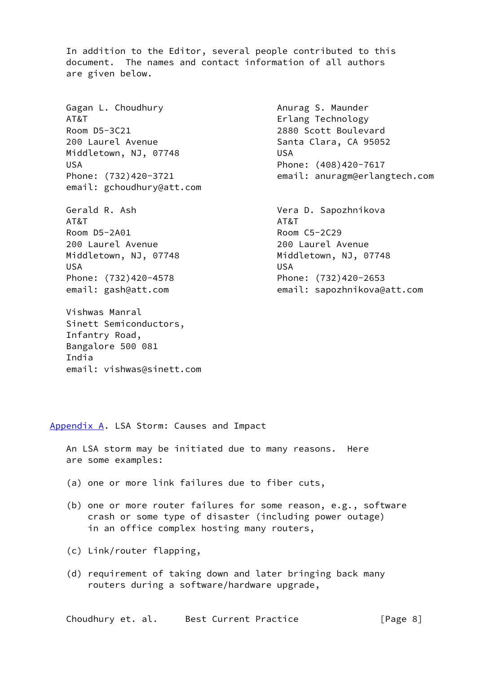In addition to the Editor, several people contributed to this document. The names and contact information of all authors are given below.

Gagan L. Choudhury **Anurag S. Maunder**  AT&T Erlang Technology Room D5-3C21 2880 Scott Boulevard 200 Laurel Avenue **Santa Clara, CA 95052** Middletown, NJ, 07748 USA USA Phone: (408)420-7617 email: gchoudhury@att.com

Gerald R. Ash Vera D. Sapozhnikova AT&T AT&T Room D5-2A01 Room C5-2C29 200 Laurel Avenue 200 Laurel Avenue Middletown, NJ, 07748 Middletown, NJ, 07748 USA USA Phone: (732)420-4578 Phone: (732)420-2653

 Vishwas Manral Sinett Semiconductors, Infantry Road, Bangalore 500 081 India email: vishwas@sinett.com

Phone: (732)420-3721 email: anuragm@erlangtech.com

email: gash@att.com email: sapozhnikova@att.com

<span id="page-8-0"></span>[Appendix A.](#page-8-0) LSA Storm: Causes and Impact

 An LSA storm may be initiated due to many reasons. Here are some examples:

- (a) one or more link failures due to fiber cuts,
- (b) one or more router failures for some reason, e.g., software crash or some type of disaster (including power outage) in an office complex hosting many routers,
- (c) Link/router flapping,
- (d) requirement of taking down and later bringing back many routers during a software/hardware upgrade,

Choudhury et. al. Best Current Practice [Page 8]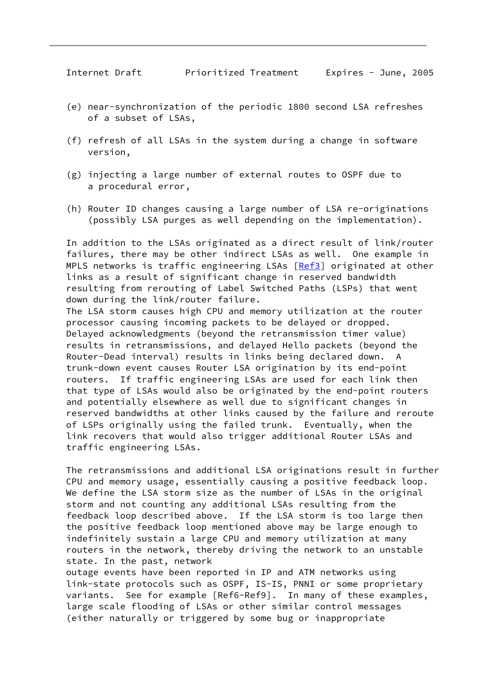Internet Draft Prioritized Treatment Expires - June, 2005

- (e) near-synchronization of the periodic 1800 second LSA refreshes of a subset of LSAs,
- (f) refresh of all LSAs in the system during a change in software version,
- (g) injecting a large number of external routes to OSPF due to a procedural error,
- (h) Router ID changes causing a large number of LSA re-originations (possibly LSA purges as well depending on the implementation).

 In addition to the LSAs originated as a direct result of link/router failures, there may be other indirect LSAs as well. One example in MPLS networks is traffic engineering LSAs  $[Ref3]$  $[Ref3]$  originated at other links as a result of significant change in reserved bandwidth resulting from rerouting of Label Switched Paths (LSPs) that went down during the link/router failure.

 The LSA storm causes high CPU and memory utilization at the router processor causing incoming packets to be delayed or dropped. Delayed acknowledgments (beyond the retransmission timer value) results in retransmissions, and delayed Hello packets (beyond the Router-Dead interval) results in links being declared down. A trunk-down event causes Router LSA origination by its end-point routers. If traffic engineering LSAs are used for each link then that type of LSAs would also be originated by the end-point routers and potentially elsewhere as well due to significant changes in reserved bandwidths at other links caused by the failure and reroute of LSPs originally using the failed trunk. Eventually, when the link recovers that would also trigger additional Router LSAs and traffic engineering LSAs.

 The retransmissions and additional LSA originations result in further CPU and memory usage, essentially causing a positive feedback loop. We define the LSA storm size as the number of LSAs in the original storm and not counting any additional LSAs resulting from the feedback loop described above. If the LSA storm is too large then the positive feedback loop mentioned above may be large enough to indefinitely sustain a large CPU and memory utilization at many routers in the network, thereby driving the network to an unstable state. In the past, network

 outage events have been reported in IP and ATM networks using link-state protocols such as OSPF, IS-IS, PNNI or some proprietary variants. See for example [Ref6-Ref9]. In many of these examples, large scale flooding of LSAs or other similar control messages (either naturally or triggered by some bug or inappropriate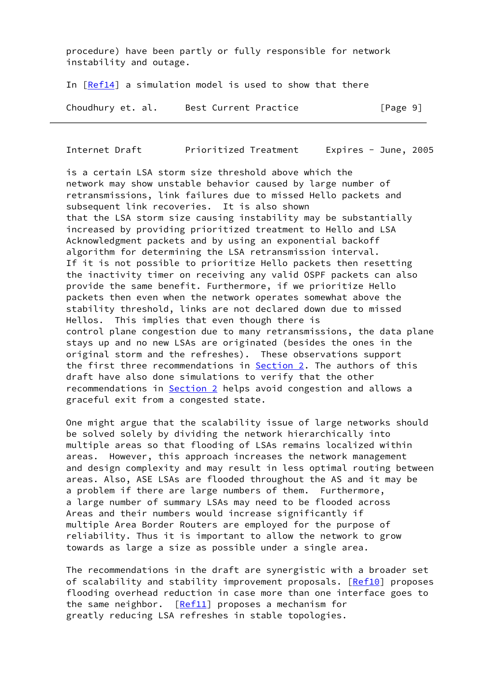procedure) have been partly or fully responsible for network instability and outage.

In [[Ref14\]](#page-7-2) a simulation model is used to show that there

Choudhury et. al. Best Current Practice [Page 9]

<span id="page-10-0"></span>Internet Draft Prioritized Treatment Expires - June, 2005

 is a certain LSA storm size threshold above which the network may show unstable behavior caused by large number of retransmissions, link failures due to missed Hello packets and subsequent link recoveries. It is also shown that the LSA storm size causing instability may be substantially increased by providing prioritized treatment to Hello and LSA Acknowledgment packets and by using an exponential backoff algorithm for determining the LSA retransmission interval. If it is not possible to prioritize Hello packets then resetting the inactivity timer on receiving any valid OSPF packets can also provide the same benefit. Furthermore, if we prioritize Hello packets then even when the network operates somewhat above the stability threshold, links are not declared down due to missed Hellos. This implies that even though there is control plane congestion due to many retransmissions, the data plane stays up and no new LSAs are originated (besides the ones in the original storm and the refreshes). These observations support the first three recommendations in [Section 2.](#page-2-0) The authors of this draft have also done simulations to verify that the other recommendations in [Section 2](#page-2-0) helps avoid congestion and allows a graceful exit from a congested state.

 One might argue that the scalability issue of large networks should be solved solely by dividing the network hierarchically into multiple areas so that flooding of LSAs remains localized within areas. However, this approach increases the network management and design complexity and may result in less optimal routing between areas. Also, ASE LSAs are flooded throughout the AS and it may be a problem if there are large numbers of them. Furthermore, a large number of summary LSAs may need to be flooded across Areas and their numbers would increase significantly if multiple Area Border Routers are employed for the purpose of reliability. Thus it is important to allow the network to grow towards as large a size as possible under a single area.

 The recommendations in the draft are synergistic with a broader set of scalability and stability improvement proposals.  $[Ref10]$  $[Ref10]$  proposes flooding overhead reduction in case more than one interface goes to the same neighbor. [\[Ref11](#page-7-5)] proposes a mechanism for greatly reducing LSA refreshes in stable topologies.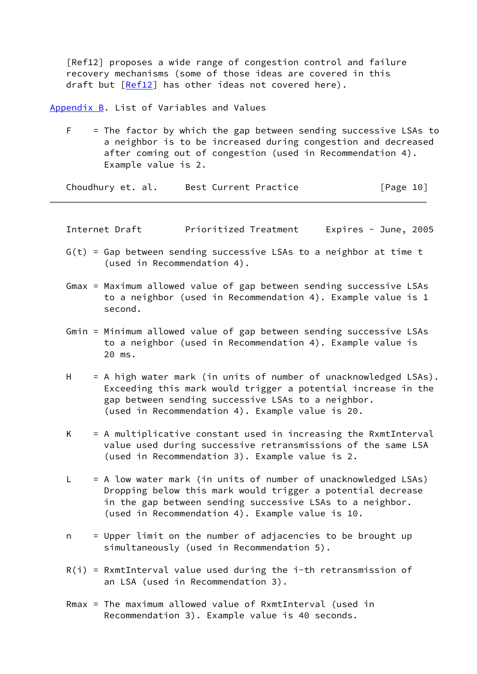[Ref12] proposes a wide range of congestion control and failure recovery mechanisms (some of those ideas are covered in this draft but  $[Ref12]$  $[Ref12]$  has other ideas not covered here).

<span id="page-11-0"></span>[Appendix B.](#page-11-0) List of Variables and Values

F = The factor by which the gap between sending successive LSAs to a neighbor is to be increased during congestion and decreased after coming out of congestion (used in Recommendation 4). Example value is 2.

Choudhury et. al. Best Current Practice [Page 10]

<span id="page-11-1"></span>Internet Draft Prioritized Treatment Expires - June, 2005

- $G(t)$  = Gap between sending successive LSAs to a neighbor at time t (used in Recommendation 4).
- Gmax = Maximum allowed value of gap between sending successive LSAs to a neighbor (used in Recommendation 4). Example value is 1 second.
- Gmin = Minimum allowed value of gap between sending successive LSAs to a neighbor (used in Recommendation 4). Example value is 20 ms.
- H = A high water mark (in units of number of unacknowledged LSAs). Exceeding this mark would trigger a potential increase in the gap between sending successive LSAs to a neighbor. (used in Recommendation 4). Example value is 20.
- $K = A$  multiplicative constant used in increasing the  $Rx$ mtInterval value used during successive retransmissions of the same LSA (used in Recommendation 3). Example value is 2.
- $L = A$  low water mark (in units of number of unacknowledged LSAs) Dropping below this mark would trigger a potential decrease in the gap between sending successive LSAs to a neighbor. (used in Recommendation 4). Example value is 10.
- n = Upper limit on the number of adjacencies to be brought up simultaneously (used in Recommendation 5).
- $R(i)$  =  $Rx$ mtInterval value used during the i-th retransmission of an LSA (used in Recommendation 3).
- Rmax = The maximum allowed value of RxmtInterval (used in Recommendation 3). Example value is 40 seconds.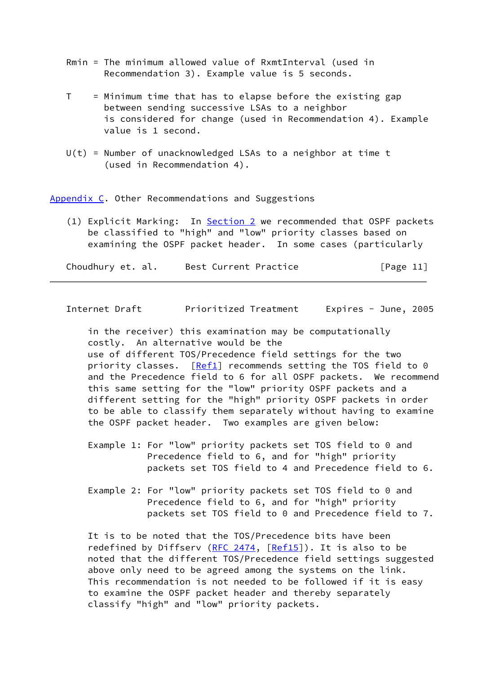- Rmin = The minimum allowed value of RxmtInterval (used in Recommendation 3). Example value is 5 seconds.
- T = Minimum time that has to elapse before the existing gap between sending successive LSAs to a neighbor is considered for change (used in Recommendation 4). Example value is 1 second.
- $U(t)$  = Number of unacknowledged LSAs to a neighbor at time t (used in Recommendation 4).

<span id="page-12-0"></span>[Appendix C.](#page-12-0) Other Recommendations and Suggestions

 (1) Explicit Marking: In [Section 2](#page-2-0) we recommended that OSPF packets be classified to "high" and "low" priority classes based on examining the OSPF packet header. In some cases (particularly

Choudhury et. al. Best Current Practice [Page 11]

Internet Draft Prioritized Treatment Expires - June, 2005

 in the receiver) this examination may be computationally costly. An alternative would be the use of different TOS/Precedence field settings for the two priority classes. [\[Ref1](#page-6-5)] recommends setting the TOS field to 0 and the Precedence field to 6 for all OSPF packets. We recommend this same setting for the "low" priority OSPF packets and a different setting for the "high" priority OSPF packets in order to be able to classify them separately without having to examine the OSPF packet header. Two examples are given below:

- Example 1: For "low" priority packets set TOS field to 0 and Precedence field to 6, and for "high" priority packets set TOS field to 4 and Precedence field to 6.
- Example 2: For "low" priority packets set TOS field to 0 and Precedence field to 6, and for "high" priority packets set TOS field to 0 and Precedence field to 7.

 It is to be noted that the TOS/Precedence bits have been redefined by Diffserv ([RFC 2474,](https://datatracker.ietf.org/doc/pdf/rfc2474)  $[Ref15]$ ). It is also to be noted that the different TOS/Precedence field settings suggested above only need to be agreed among the systems on the link. This recommendation is not needed to be followed if it is easy to examine the OSPF packet header and thereby separately classify "high" and "low" priority packets.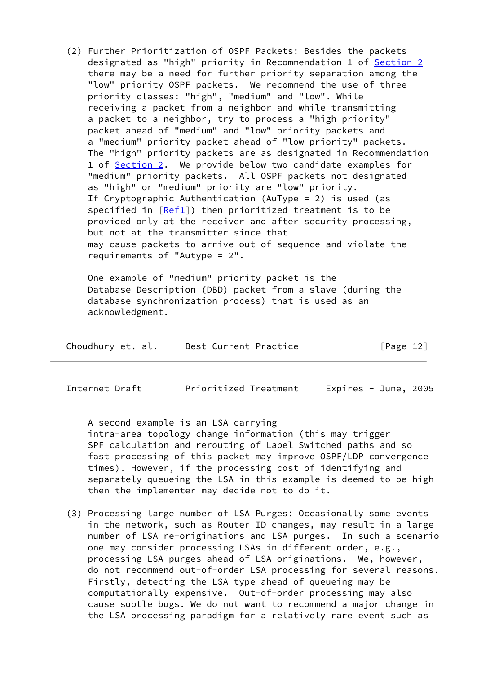(2) Further Prioritization of OSPF Packets: Besides the packets designated as "high" priority in Recommendation 1 of **Section 2**  there may be a need for further priority separation among the "low" priority OSPF packets. We recommend the use of three priority classes: "high", "medium" and "low". While receiving a packet from a neighbor and while transmitting a packet to a neighbor, try to process a "high priority" packet ahead of "medium" and "low" priority packets and a "medium" priority packet ahead of "low priority" packets. The "high" priority packets are as designated in Recommendation 1 of [Section 2](#page-2-0). We provide below two candidate examples for "medium" priority packets. All OSPF packets not designated as "high" or "medium" priority are "low" priority. If Cryptographic Authentication (AuType = 2) is used (as specified in  $[Ref1]$  $[Ref1]$ ) then prioritized treatment is to be provided only at the receiver and after security processing, but not at the transmitter since that may cause packets to arrive out of sequence and violate the requirements of "Autype = 2".

 One example of "medium" priority packet is the Database Description (DBD) packet from a slave (during the database synchronization process) that is used as an acknowledgment.

| Choudhury et. al. | Best Current Practice | [Page 12] |
|-------------------|-----------------------|-----------|
|-------------------|-----------------------|-----------|

Internet Draft Prioritized Treatment Expires - June, 2005

 A second example is an LSA carrying intra-area topology change information (this may trigger SPF calculation and rerouting of Label Switched paths and so fast processing of this packet may improve OSPF/LDP convergence times). However, if the processing cost of identifying and separately queueing the LSA in this example is deemed to be high then the implementer may decide not to do it.

 (3) Processing large number of LSA Purges: Occasionally some events in the network, such as Router ID changes, may result in a large number of LSA re-originations and LSA purges. In such a scenario one may consider processing LSAs in different order, e.g., processing LSA purges ahead of LSA originations. We, however, do not recommend out-of-order LSA processing for several reasons. Firstly, detecting the LSA type ahead of queueing may be computationally expensive. Out-of-order processing may also cause subtle bugs. We do not want to recommend a major change in the LSA processing paradigm for a relatively rare event such as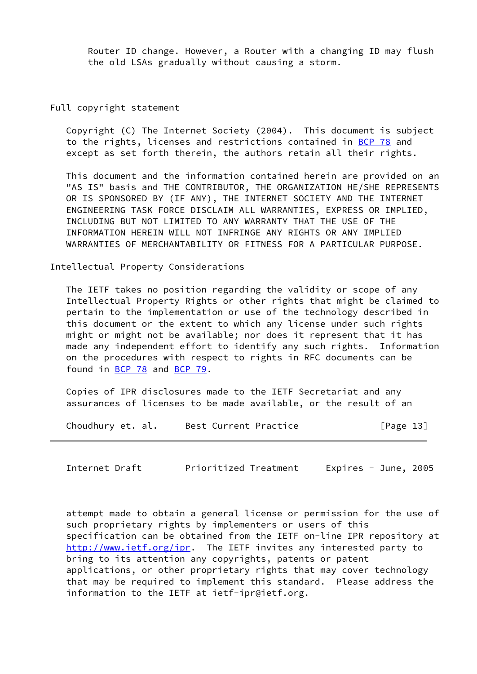Router ID change. However, a Router with a changing ID may flush the old LSAs gradually without causing a storm.

Full copyright statement

 Copyright (C) The Internet Society (2004). This document is subject to the rights, licenses and restrictions contained in [BCP 78](https://datatracker.ietf.org/doc/pdf/bcp78) and except as set forth therein, the authors retain all their rights.

 This document and the information contained herein are provided on an "AS IS" basis and THE CONTRIBUTOR, THE ORGANIZATION HE/SHE REPRESENTS OR IS SPONSORED BY (IF ANY), THE INTERNET SOCIETY AND THE INTERNET ENGINEERING TASK FORCE DISCLAIM ALL WARRANTIES, EXPRESS OR IMPLIED, INCLUDING BUT NOT LIMITED TO ANY WARRANTY THAT THE USE OF THE INFORMATION HEREIN WILL NOT INFRINGE ANY RIGHTS OR ANY IMPLIED WARRANTIES OF MERCHANTABILITY OR FITNESS FOR A PARTICULAR PURPOSE.

Intellectual Property Considerations

 The IETF takes no position regarding the validity or scope of any Intellectual Property Rights or other rights that might be claimed to pertain to the implementation or use of the technology described in this document or the extent to which any license under such rights might or might not be available; nor does it represent that it has made any independent effort to identify any such rights. Information on the procedures with respect to rights in RFC documents can be found in [BCP 78](https://datatracker.ietf.org/doc/pdf/bcp78) and [BCP 79](https://datatracker.ietf.org/doc/pdf/bcp79).

 Copies of IPR disclosures made to the IETF Secretariat and any assurances of licenses to be made available, or the result of an

| Choudhury et. al. | Best Current Practice | [Page 13] |
|-------------------|-----------------------|-----------|
|-------------------|-----------------------|-----------|

Internet Draft Prioritized Treatment Expires - June, 2005

 attempt made to obtain a general license or permission for the use of such proprietary rights by implementers or users of this specification can be obtained from the IETF on-line IPR repository at <http://www.ietf.org/ipr>. The IETF invites any interested party to bring to its attention any copyrights, patents or patent applications, or other proprietary rights that may cover technology that may be required to implement this standard. Please address the information to the IETF at ietf-ipr@ietf.org.